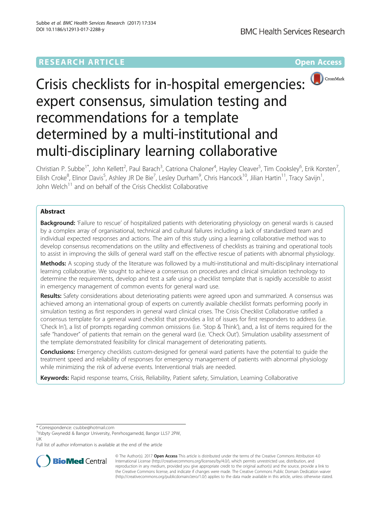# **RESEARCH ARTICLE Example 2018 12:00 Department of the Contract Open Access**



# Crisis checklists for in-hospital emergencies: expert consensus, simulation testing and recommendations for a template determined by a multi-institutional and multi-disciplinary learning collaborative

Christian P. Subbe<sup>1\*</sup>, John Kellett<sup>2</sup>, Paul Barach<sup>3</sup>, Catriona Chaloner<sup>4</sup>, Hayley Cleaver<sup>5</sup>, Tim Cooksley<sup>6</sup>, Erik Korsten<sup>7</sup> , Eilish Croke<sup>8</sup>, Elinor Davis<sup>5</sup>, Ashley JR De Bie<sup>7</sup>, Lesley Durham<sup>9</sup>, Chris Hancock<sup>10</sup>, Jilian Hartin<sup>11</sup>, Tracy Savijn<sup>1</sup> ,  $J$ lohn Welch<sup>11</sup> and on behalf of the Crisis Checklist Collaborative

# Abstract

Background: 'Failure to rescue' of hospitalized patients with deteriorating physiology on general wards is caused by a complex array of organisational, technical and cultural failures including a lack of standardized team and individual expected responses and actions. The aim of this study using a learning collaborative method was to develop consensus recomendations on the utility and effectiveness of checklists as training and operational tools to assist in improving the skills of general ward staff on the effective rescue of patients with abnormal physiology.

Methods: A scoping study of the literature was followed by a multi-institutional and multi-disciplinary international learning collaborative. We sought to achieve a consensus on procedures and clinical simulation technology to determine the requirements, develop and test a safe using a checklist template that is rapidly accessible to assist in emergency management of common events for general ward use.

Results: Safety considerations about deteriorating patients were agreed upon and summarized. A consensus was achieved among an international group of experts on currently available checklist formats performing poorly in simulation testing as first responders in general ward clinical crises. The Crisis Checklist Collaborative ratified a consensus template for a general ward checklist that provides a list of issues for first responders to address (i.e. 'Check In'), a list of prompts regarding common omissions (i.e. 'Stop & Think'), and, a list of items required for the safe "handover" of patients that remain on the general ward (i.e. 'Check Out'). Simulation usability assessment of the template demonstrated feasibility for clinical management of deteriorating patients.

**Conclusions:** Emergency checklists custom-designed for general ward patients have the potential to guide the treatment speed and reliability of responses for emergency management of patients with abnormal physiology while minimizing the risk of adverse events. Interventional trials are needed.

Keywords: Rapid response teams, Crisis, Reliability, Patient safety, Simulation, Learning Collaborative

Full list of author information is available at the end of the article



© The Author(s). 2017 **Open Access** This article is distributed under the terms of the Creative Commons Attribution 4.0 International License [\(http://creativecommons.org/licenses/by/4.0/](http://creativecommons.org/licenses/by/4.0/)), which permits unrestricted use, distribution, and reproduction in any medium, provided you give appropriate credit to the original author(s) and the source, provide a link to the Creative Commons license, and indicate if changes were made. The Creative Commons Public Domain Dedication waiver [\(http://creativecommons.org/publicdomain/zero/1.0/](http://creativecommons.org/publicdomain/zero/1.0/)) applies to the data made available in this article, unless otherwise stated.

<sup>\*</sup> Correspondence: [csubbe@hotmail.com](mailto:csubbe@hotmail.com) <sup>1</sup>

Ysbyty Gwynedd & Bangor University, Penrhosgarnedd, Bangor LL57 2PW, UK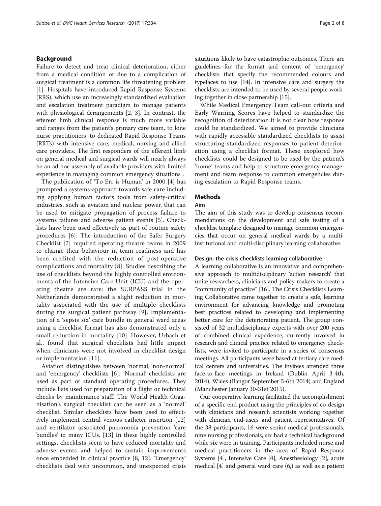## Background

Failure to detect and treat clinical deterioration, either from a medical condition or due to a complication of surgical treatment is a common life threatening problem [[1\]](#page-6-0). Hospitals have introduced Rapid Response Systems (RRS), which use an increasingly standardized evaluation and escalation treatment paradigm to manage patients with physiological derangements [[2, 3\]](#page-6-0). In contrast, the efferent limb clinical response is much more variable and ranges from the patient's primary care team, to lone nurse practitioners, to dedicated Rapid Response Teams (RRTs) with intensive care, medical, nursing and allied care providers. The first responders of the efferent limb on general medical and surgical wards will nearly always be an ad hoc assembly of available providers with limited experience in managing common emergency situations .

The publication of 'To Err is Human' in 2000 [\[4](#page-6-0)] has prompted a systems-approach towards safe care including applying human factors tools from safety-critical industries, such as aviation and nuclear power, that can be used to mitigate propagation of process failure to systems failures and adverse patient events [[5\]](#page-6-0). Checklists have been used effectively as part of routine safety procedures [[6\]](#page-6-0). The introduction of the Safer Surgery Checklist [[7](#page-6-0)] required operating theatre teams in 2009 to change their behaviour in team readiness and has been credited with the reduction of post-operative complications and mortality [[8](#page-6-0)]. Studies describing the use of checklists beyond the highly controlled environments of the Intensive Care Unit (ICU) and the operating theatre are rare: the SURPASS trial in the Netherlands demonstrated a slight reduction in mortality associated with the use of multiple checklists during the surgical patient pathway [[9\]](#page-6-0). Implementation of a 'sepsis six' care bundle in general ward areas using a checklist format has also demonstrated only a small reduction in mortality [\[10](#page-6-0)]. However, Urbach et al., found that surgical checklists had little impact when clinicians were not involved in checklist design or implementation [\[11\]](#page-6-0).

Aviation distinguishes between 'normal', 'non-normal' and 'emergency' checklists [[6\]](#page-6-0). 'Normal' checklists are used as part of standard operating procedures. They include lists used for preparation of a flight or technical checks by maintenance staff. The World Health Organisation's surgical checklist can be seen as a 'normal' checklist. Similar checklists have been used to effectively implement central venous catheter insertion [\[12](#page-6-0)] and ventilator associated pneumonia prevention 'care bundles' in many ICUs. [[13\]](#page-6-0) In these highly controlled settings, checklists seem to have reduced mortality and adverse events and helped to sustain improvements once embedded in clinical practice [[8, 12\]](#page-6-0). 'Emergency' checklists deal with uncommon, and unexpected crisis situations likely to have catastrophic outcomes. There are guidelines for the format and content of 'emergency' checklists that specify the recommended colours and typefaces to use [\[14\]](#page-6-0). In intensive care and surgery the checklists are intended to be used by several people working together in close partnership [\[15\]](#page-6-0).

While Medical Emergency Team call-out criteria and Early Warning Scores have helped to standardize the recognition of deterioration it is not clear how response could be standardized. We aimed to provide clinicians with rapidly accessible standardized checklists to assist structuring standardized responses to patient deterioration using a checklist format. These exoplored how checklists could be designed to be used by the patient's 'home' teams and help to structure emergency management and team response to common emergencies during escalation to Rapid Response teams.

#### Methods

#### Aim

The aim of this study was to develop consensus recommendations on the development and safe testing of a checklist template designed to manage common emergencies that occur on general medical wards by a multiinstitutional and multi-disciplinary learning collaborative.

#### Design: the crisis checklists learning collaborative

A learning collaborative is an innovative and comprehensive approach to multidisciplinary 'action research' that unite researchers, clinicians and policy makers to create a "community of practice" [[16](#page-6-0)]. The Crisis Checklists Learning Collaborative came together to create a safe, learning environment for advancing knowledge and promoting best practices related to developing and implementing better care for the deteriorating patient. The group consisted of 32 multidisciplinary experts with over 200 years of combined clinical experience, currently involved in research and clinical practice related to emergency checklists, were invited to participate in a series of consensus meetings. All participants were based at tertiary care medical centers and universities. The invitees attended three face-to-face meetings in Ireland (Dublin April 3-4th, 2014), Wales (Bangor September 5-6th 2014) and England (Manchester January 30-31st 2015).

Our cooperative learning facilitated the accomplishment of a specific end product using the principles of co-design with clinicians and research scientists working together with clinician end-users and patient representatives. Of the 38 participants, 16 were senior medical professionals, nine nursing professionals, six had a technical background while six were in training. Participants included nurse and medical practitioners in the area of Rapid Response Systems [[4](#page-6-0)], Intensive Care [[4\]](#page-6-0), Anesthesiology [[2](#page-6-0)], acute medical [\[4\]](#page-6-0) and general ward care (6,) as well as a patient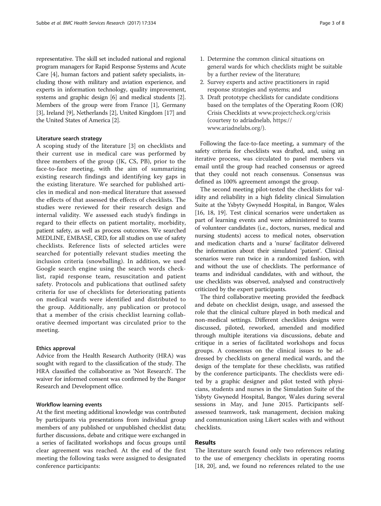representative. The skill set included national and regional program managers for Rapid Response Systems and Acute Care [\[4\]](#page-6-0), human factors and patient safety specialists, including those with military and aviation experience, and experts in information technology, quality improvement, systems and graphic design [\[6](#page-6-0)] and medical students [[2](#page-6-0)]. Members of the group were from France [[1\]](#page-6-0), Germany [[3\]](#page-6-0), Ireland [[9\]](#page-6-0), Netherlands [\[2](#page-6-0)], United Kingdom [\[17\]](#page-6-0) and the United States of America [\[2](#page-6-0)].

#### Literature search strategy

A scoping study of the literature [\[3](#page-6-0)] on checklists and their current use in medical care was performed by three members of the group (JK, CS, PB), prior to the face-to-face meeting, with the aim of summarizing existing research findings and identifying key gaps in the existing literature. We searched for published articles in medical and non-medical literature that assessed the effects of that assessed the effects of checklists. The studies were reviewed for their research design and internal validity. We assessed each study's findings in regard to their effects on patient mortality, morbidity, patient safety, as well as process outcomes. We searched MEDLINE, EMBASE, CRD, for all studies on use of safety checklists. Reference lists of selected articles were searched for potentially relevant studies meeting the inclusion criteria (snowballing). In addition, we used Google search engine using the search words checklist, rapid response team, resuscitation and patient safety. Protocols and publications that outlined safety criteria for use of checklists for deteriorating patients on medical wards were identified and distributed to the group. Additionally, any publication or protocol that a member of the crisis checklist learning collaborative deemed important was circulated prior to the meeting.

#### Ethics approval

Advice from the Health Research Authority (HRA) was sought with regard to the classification of the study. The HRA classified the collaborative as 'Not Research'. The waiver for informed consent was confirmed by the Bangor Research and Development office.

#### Workflow learning events

At the first meeting additional knowledge was contributed by participants via presentations from individual group members of any published or unpublished checklist data; further discussions, debate and critique were exchanged in a series of facilitated workshops and focus groups until clear agreement was reached. At the end of the first meeting the following tasks were assigned to designated conference participants:

- 1. Determine the common clinical situations on general wards for which checklists might be suitable by a further review of the literature;
- 2. Survey experts and active practitioners in rapid response strategies and systems; and
- 3. Draft prototype checklists for candidate conditions based on the templates of the Operating Room (OR) Crisis Checklists at [www.projectcheck.org/crisis](http://www.projectcheck.org/crisis) (courtesy to adriadnelab, [https://](https://www.ariadnelabs.org/) [www.ariadnelabs.org/](https://www.ariadnelabs.org/)).

Following the face-to-face meeting, a summary of the safety criteria for checklists was drafted, and, using an iterative process, was circulated to panel members via email until the group had reached consensus or agreed that they could not reach consensus. Consensus was defined as 100% agreement amongst the group.

The second meeting pilot-tested the checklists for validity and reliability in a high fidelity clinical Simulation Suite at the Ysbyty Gwynedd Hospital, in Bangor, Wales [[16, 18, 19](#page-6-0)]. Test clinical scenarios were undertaken as part of learning events and were administered to teams of volunteer candidates (i.e., doctors, nurses, medical and nursing students) access to medical notes, observation and medication charts and a 'nurse' facilitator delivered the information about their simulated 'patient'. Clinical scenarios were run twice in a randomized fashion, with and without the use of checklists. The performance of teams and individual candidates, with and without, the use checklists was observed, analysed and constructively criticized by the expert participants.

The third collaborative meeting provided the feedback and debate on checklist design, usage, and assessed the role that the clinical culture played in both medical and non-medical settings. Different checklists designs were discussed, piloted, reworked, amended and modified through multiple iterations via discussions, debate and critique in a series of facilitated workshops and focus groups. A consensus on the clinical issues to be addressed by checklists on general medical wards, and the design of the template for these checklists, was ratified by the conference participants. The checklists were edited by a graphic designer and pilot tested with physicians, students and nurses in the Simulation Suite of the Ysbyty Gwynedd Hospital, Bangor, Wales during several sessions in May, and June 2015. Participants selfassessed teamwork, task management, decision making and communication using Likert scales with and without checklists.

# Results

The literature search found only two references relating to the use of emergency checklists in operating rooms [[18, 20](#page-6-0)], and, we found no references related to the use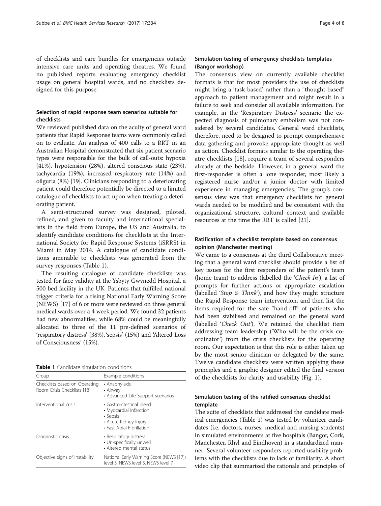of checklists and care bundles for emergencies outside intensive care units and operating theatres. We found no published reports evaluating emergency checklist usage on general hospital wards, and no checklists designed for this purpose.

# Selection of rapid response team scenarios suitable for checklists

We reviewed published data on the acuity of general ward patients that Rapid Response teams were commonly called on to evaluate. An analysis of 400 calls to a RRT in an Australian Hospital demonstrated that six patient scenario types were responsible for the bulk of call-outs: hypoxia (41%), hypotension (28%), altered conscious state (23%), tachycardia (19%), increased respiratory rate (14%) and oliguria (8%) [\[19](#page-6-0)]. Clinicians responding to a deteriorating patient could therefore potentially be directed to a limited catalogue of checklists to act upon when treating a deteriorating patient.

A semi-structured survey was designed, piloted, refined, and given to faculty and international specialists in the field from Europe, the US and Australia, to identify candidate conditions for checklists at the International Society for Rapid Response Systems (iSRRS) in Miami in May 2014. A catalogue of candidate conditions amenable to checklists was generated from the survey responses (Table 1).

The resulting catalogue of candidate checklists was tested for face validity at the Ysbyty Gwynedd Hospital, a 500 bed facility in the UK. Patients that fulfilled national trigger criteria for a rising National Early Warning Score (NEWS) [\[17\]](#page-6-0) of 6 or more were reviewed on three general medical wards over a 4 week period. We found 32 patients had new abnormalities, while 68% could be meaningfully allocated to three of the 11 pre-defined scenarios of 'respiratory distress' (38%), 'sepsis' (15%) and 'Altered Loss of Consciousness' (15%).

| <b>Table 1</b> Candidate simulation conditions |
|------------------------------------------------|
|------------------------------------------------|

| Group                                                        | Example conditions                                                                                                     |
|--------------------------------------------------------------|------------------------------------------------------------------------------------------------------------------------|
| Checklists based on Operating<br>Room Crisis Checklists [18] | • Anaphylaxis<br>• Airway<br>• Advanced Life Support scenarios                                                         |
| Interventional crisis                                        | • Gastrointestinal bleed<br>• Myocardial Infarction<br>• Sepsis<br>• Acute Kidney Injury<br>• Fast Atrial Fibrillation |
| Diagnostic crisis                                            | • Respiratory distress<br>• Un-specifically unwell<br>• Altered mental status                                          |
| Objective signs of instability                               | National Early Warning Score (NEWS [17])<br>level 3, NEWS level 5, NEWS level 7                                        |

# Simulation testing of emergency checklists templates (Bangor workshop)

The consensus view on currently available checklist formats is that for most providers the use of checklists might bring a 'task-based' rather than a "thought-based" approach to patient management and might result in a failure to seek and consider all available information. For example, in the 'Respiratory Distress' scenario the expected diagnosis of pulmonary embolism was not considered by several candidates. General ward checklists, therefore, need to be designed to prompt comprehensive data gathering and provoke appropriate thought as well as action. Checklist formats similar to the operating theatre checklists [[18](#page-6-0)], require a team of several responders already at the bedside. However, in a general ward the first-responder is often a lone responder, most likely a registered nurse and/or a junior doctor with limited experience in managing emergencies. The group's consensus view was that emergency checklists for general wards needed to be modified and be consistent with the organizational structure, cultural context and available resources at the time the RRT is called [[21\]](#page-6-0).

# Ratification of a checklist template based on consensus opinion (Manchester meeting)

We came to a consensus at the third Collaborative meeting that a general ward checklist should provide a list of key issues for the first responders of the patient's team (home team) to address (labelled the 'Check  $In$ '), a list of prompts for further actions or appropriate escalation (labelled 'Stop & Think'), and how they might structure the Rapid Response team intervention, and then list the items required for the safe "hand-off" of patients who had been stabilised and remained on the general ward (labelled 'Check Out'). We retained the checklist item addressing team leadership ('Who will be the crisis coordinator') from the crisis checklists for the operating room. Our expectation is that this role is either taken up by the most senior clinician or delegated by the same. Twelve candidate checklists were written applying these principles and a graphic designer edited the final version of the checklists for clarity and usability (Fig. [1\)](#page-4-0).

# Simulation testing of the ratified consensus checklist template

The suite of checklists that addressed the candidate medical emergencies (Table 1) was tested by volunteer candidates (i.e. doctors, nurses, medical and nursing students) in simulated environments at five hospitals (Bangor, Cork, Manchester, Rhyl and Eindhoven) in a standardized manner. Several volunteer responders reported usability problems with the checklists due to lack of familiarity. A short video clip that summarized the rationale and principles of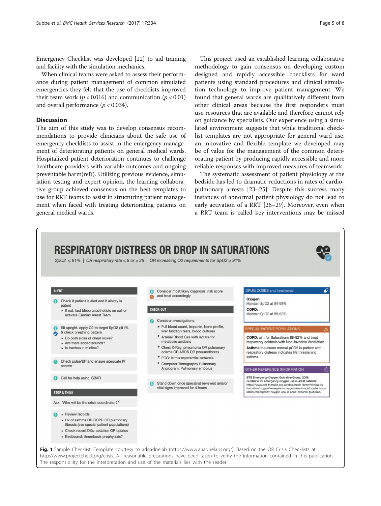<span id="page-4-0"></span>Emergency Checklist was developed [[22](#page-6-0)] to aid training and facility with the simulation mechanics.

When clinical teams were asked to assess their performance during patient management of common simulated emergencies they felt that the use of checklists improved their team work ( $p < 0.016$ ) and communication ( $p < 0.01$ ) and overall performance ( $p < 0.034$ ).

## Discussion

The aim of this study was to develop consensus recommendations to provide clinicians about the safe use of emergency checklists to assist in the emergency management of deteriorating patients on general medical wards. Hospitalized patient deterioration continues to challenge healthcare providers with variable outcomes and ongoing preventable harm(ref?). Utilizing previous evidence, simulation testing and expert opinion, the learning collaborative group achieved consensus on the best templates to use for RRT teams to assist in structuring patient management when faced with treating deteriorating patients on general medical wards.

This project used an established learning collaborative methodology to gain consensus on developing custom designed and rapidly accessible checklists for ward patients using standard procedures and clinical simulation technology to improve patient management. We found that general wards are qualitatively different from other clinical areas because the first responders must use resources that are available and therefore cannot rely on guidance by specialists. Our experience using a simulated environment suggests that while traditional checklist templates are not appropriate for general ward use, an innovative and flexible template we developed may be of value for the management of the common deteriorating patient by producing rapidly accessible and more reliable responses with improved measures of teamwork.

The systematic assessment of patient physiology at the bedside has led to dramatic reductions in rates of cardiopulmonary arrests [\[23](#page-6-0)–[25\]](#page-7-0). Despite this success many instances of abnormal patient physiology do not lead to early activation of a RRT [\[26](#page-7-0)–[29\]](#page-7-0). Moreover, even when a RRT team is called key interventions may be missed

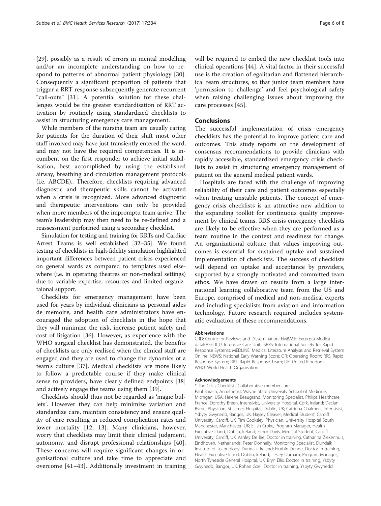[[29\]](#page-7-0), possibly as a result of errors in mental modelling and/or an incomplete understanding on how to respond to patterns of abnormal patient physiology [\[30](#page-7-0)]. Consequently a significant proportion of patients that trigger a RRT response subsequently generate recurrent "call-outs" [[31\]](#page-7-0). A potential solution for these challenges would be the greater standardisation of RRT activation by routinely using standardized checklists to assist in structuring emergency care management.

While members of the nursing team are usually caring for patients for the duration of their shift most other staff involved may have just transiently entered the ward, and may not have the required competencies. It is incumbent on the first responder to achieve initial stabilisation, best accomplished by using the established airway, breathing and circulation management protocols (i.e. ABCDE).. Therefore, checklists requiring advanced diagnostic and therapeutic skills cannot be activated when a crisis is recognized. More advanced diagnostic and therapeutic interventions can only be provided when more members of the impromptu team arrive. The team's leadership may then need to be re-defined and a reassessment performed using a secondary checklist.

Simulation for testing and training for RRTs and Cardiac Arrest Teams is well established [[32](#page-7-0)–[35\]](#page-7-0). We found testing of checklists in high-fidelity simulation highlighted important differences between patient crises experienced on general wards as compared to templates used elsewhere (i.e. in operating theatres or non-medical settings) due to variable expertise, resources and limited organiztaional support.

Checklists for emergency management have been used for years by individual clinicians as personal aides de memoire, and health care administrators have encouraged the adoption of checklists in the hope that they will minimize the risk, increase patient safety and cost of litigation [\[36](#page-7-0)]. However, as experience with the WHO surgical checklist has demonstrated, the benefits of checklists are only realised when the clinical staff are engaged and they are used to change the dynamics of a team's culture [[37\]](#page-7-0). Medical checklists are more likely to follow a predictable course if they make clinical sense to providers, have clearly defined endpoints [\[38](#page-7-0)] and actively engage the teams using them [[39\]](#page-7-0).

Checklists should thus not be regarded as 'magic bullets'. However they can help minimize variation and standardize care, maintain consistency and ensure quality of care resulting in reduced complication rates and lower mortality [\[12](#page-6-0), [13](#page-6-0)]. Many clinicians, however, worry that checklists may limit their clinical judgment, autonomy, and disrupt professional relationships [\[40](#page-7-0)]. These concerns will require significant changes in organisational culture and take time to appreciate and overcome [[41](#page-7-0)–[43\]](#page-7-0). Additionally investment in training will be required to embed the new checklist tools into clinical operations [\[44](#page-7-0)]. A vital factor in their successful use is the creation of egalitarian and flattened hierarchical team structures, so that junior team members have 'permission to challenge' and feel psychological safety when raising challenging issues about improving the care processes [\[45](#page-7-0)].

#### Conclusions

The successful implementation of crisis emergency checklists has the potential to improve patient care and outcomes. This study reports on the development of consensus recommendations to provide clinicians with rapidly accessible, standardized emergency crisis checklists to assist in structuring emergency management of patient on the general medical patient wards.

Hospitals are faced with the challenge of improving reliability of their care and patient outcomes especially when treating unstable patients. The concept of emergency crisis checklists is an attractive new addition to the expanding toolkit for continuous quality improvement by clinical teams. RRS crisis emergency checklists are likely to be effective when they are performed as a team routine in the context and readiness for change. An organizational culture that values improving outcomes is essential for sustained uptake and sustained implementation of checklists. The success of checklists will depend on uptake and acceptance by providers, supported by a strongly motivated and committed team ethos. We have drawn on results from a large international learning collaborative team from the US and Europe, comprised of medical and non-medical experts and including specialists from aviation and information technology. Future research required includes systematic evaluation of these recommendations.

#### Abbreviations

CRD: Centre for Reviews and Dissemination; EMBASE: Excerpta Medica dataBASE; ICU: Intensive Care Unit; iSRRS: International Society for Rapid Response Systems; MEDLINE: Medical Literature Analysis and Retrieval System Online; NEWS: National Early Warning Score; OR: Operating Room; RRS: Rapid Response System; RRT: Rapid Response Team; UK: United Kingdom; WHO: World Health Organisation

#### Acknowledgements

\* The Crisis Checklists Collaborative members are:

Paul Barach, Anaethetist, Wayne State University School of Medicine, Michigan, USA; Helene Beaugrand, Monitoring Specialist, Philips Healthcare, France; Dorothy Breen, Intensivist, University Hospital, Cork, Ireland; Declan Byrne, Physician, St James Hospital, Dublin, UK; Catriona Chalmers, Intensivist, Ysbyty Gwynedd, Bangor, UK; Hayley Cleaver, Medical Student, Cardiff University, Cardiff, UK; Tim Cooksley, Physician, University Hospital South Manchester, Manchester, UK; Eilish Croke, Program Manager, Health Executive Irland, Dublin, Ireland; Elinor Davis, Medical Student, Cardiff University, Cardiff, UK; Ashley De Bie, Doctor in training, Catharina Ziekenhuis, Eindhoven, Netherlands; Peter Donnelly, Monitoring Specialist, Dundalk Institute of Technology, Dundalk, Ireland; Eímhín Dunne, Doctor in training, Health Executive Irland, Dublin, Ireland; Lesley Durham, Program Manager, North Tyneside General Hospital, UK; Bryn Ellis, Doctor in training, Ysbyty Gwynedd, Bangor, UK; Rohan Goel, Doctor in training, Ysbyty Gwynedd,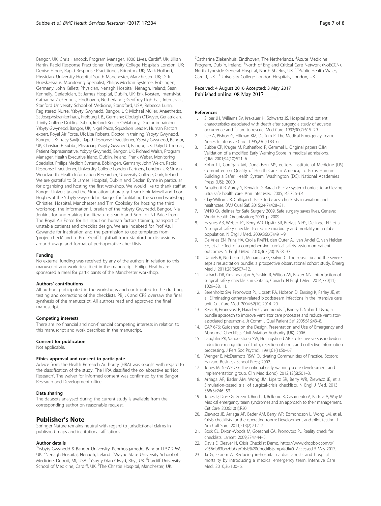<span id="page-6-0"></span>Bangor, UK; Chris Hancock, Program Manager, 1000 Lives, Cardiff, UK; Jillian Hartin, Rapid Response Practitioner, University College Hospitals London, UK; Denise Hinge, Rapid Response Practitioner, Brighton, UK; Mark Holland, Physician, University Hospital South Manchester, Manchester, UK; Dirk Hueske-Kraus, Monitoring Specialist, Philips Medizin Systeme, Böblingen, Germany; John Kellett, Physician, Nenagh Hospital, Nenagh, Ireland; Sean Kennelly, Geriatrician, St James Hospital, Dublin, UK; Erik Korsten, Intensivist, Catharina Ziekenhuis, Eindhoven, Netherlands; Geoffrey Lighthall, Intensivist, Stanford University School of Medicine, Standford, USA; Rebecca Lunn, Registered Nurse, Ysbyty Gwynedd, Bangor, UK; Michael Müller, Anaethetist, St Josephskrankenhaus, Freiburg i. B., Germany; Clodagh O'Dwyer, Geriatrician, Trinity College Dublin, Dublin, Ireland; Kerian O'Mahony, Doctor in training, Ysbyty Gwynedd, Bangor, UK; Nigel Paice, Squadron Leader, Human Factors expert, Royal Air Force, UK; Lisa Roberts, Doctor in training, Ysbyty Gwynedd, Bangor, UK; Tracy Savijn, Rapid Response Practitioner, Ysbyty Gwynedd, Bangor, UK; Christian P Subbe, Physician, Ysbyty Gwynedd, Bangor, UK; Dafydd Thomas, Patient Representative, Ysbyty Gwynedd, Bangor, UK; Richard Walsh, Program Manager, Health Executive Irland, Dublin, Ireland; Frank Weber, Monitoring Specialist, Philips Medizin Systeme, Böblingen, Germany; John Welch, Rapid Response Practitioner, University College London Partners, London, UK; Simon Woodworth, Health Information Researcher, University College, Cork, Ireland. We are grateful to St James' Hospital, Dublin and Declan Byrne in particular for organising and hosting the first workshop. We would like to thank staff at Bangor University and the Simulation-laboratory Team Einir Mowll and Leon Hughes at the Ysbyty Gwynedd in Bangor for facilitating the second workshop, Christies' Hospital, Manchester and Tim Cooksley for hosting the third workshop, the Information Librarian of the Ysbyty Gwynedd, Bangor, Nia Jenkins for undertaking the literature search and Sqn Ldr NJ Paice from The Royal Air Force for his input on human factors training, transport of unstable patients and checklist design. We are indebted for Prof Atul Gawande for inspiration and the permission to use templates from 'projectcheck' and to Prof Geoff Lighthall from Stanford or discussions around usage and format of peri-operative checklists.

#### Funding

No external funding was received by any of the authors in relation to this manuscript and work described in the manuscript. Philips Healthcare sponsored a meal for participants of the Manchester workshop.

#### Authors' contributions

All authors participated in the workshops and contributed to the drafting, testing and corrections of the checklists. PB, JK and CPS oversaw the final synthesis of the manuscript. All authors read and approved the final manuscript.

#### Competing interests

There are no financial and non-financial competing interests in relation to this manuscript and work described in the manuscript.

#### Consent for publication

Not applicable.

#### Ethics approval and consent to participate

Advice from the Health Research Authority (HRA) was sought with regard to the classification of the study. The HRA classified the collaborative as 'Not Research'. The waiver for informed consent was confirmed by the Bangor Research and Development office.

#### Data sharing

The datasets analysed during the current study is available from the corresponding author on reasonable request.

#### Publisher's Note

Springer Nature remains neutral with regard to jurisdictional claims in published maps and institutional affiliations.

#### Author details

<sup>1</sup>Ysbyty Gwynedd & Bangor University, Penrhosgarnedd, Bangor LL57 2PW, UK. <sup>2</sup>Nenagh Hospital, Nenagh, Ireland. <sup>3</sup>Wayne State University School of Medicine, Detroit, MI, USA. <sup>4</sup>Ysbyty Glan Clwyd, Rhyl, UK. <sup>5</sup>Cardiff University School of Medicine, Cardiff, UK. <sup>6</sup>The Christie Hospital, Manchester, UK.

<sup>7</sup>Catharina Ziekenhuis, Eindhoven, The Netherlands. <sup>8</sup>Acute Medicine Program, Dublin, Ireland. <sup>9</sup>North of England Critical Care Network (NoECCN) North Tyneside General Hospital, North Shields, UK. <sup>10</sup>Public Health Wales, Cardiff, UK. 11University College London Hospitals, London, UK.

#### Received: 4 August 2016 Accepted: 3 May 2017 Published online: 08 May 2017

#### References

- 1. Silber JH, Williams SV, Krakauer H, Schwartz JS. Hospital and patient characteristics associated with death after surgery: a study of adverse occurrence and failure to rescue. Med Care. 1992;30(7):615–29.
- 2. Lee A, Bishop G, Hillman KM, Daffurn K. The Medical Emergency Team. Anaesth Intensive Care. 1995;23(2):183–6.
- 3. Subbe CP, Kruger M, Rutherford P, Gemmel L. Original papers QJM Validation of a modified Early Warning Score in medical admissions. QJM. 2001;94(10):521–6.
- 4. Kohn LT, Corrigan JM, Donaldson MS, editors. Institute of Medicine (US) Committee on Quality of Health Care in America; To Err is Human: Building a Safer Health System. Washington (DC): National Academies Press (US); 2000.
- 5. Amalberti R, Auroy Y, Berwick D, Barach P. Five system barriers to achieving ultra safe health care. Ann Inter Med. 2005;142:756–64.
- 6. Clay-Williams R, Colligan L. Back to basics: checklists in aviation and healthcare. BMJ Qual Saf. 2015;24(7):428–31.
- 7. WHO Guidelines for Safe Surgery 2009. Safe surgery saves lives. Geneva: World Health Organization; 2009. p. 2009.
- 8. Haynes AB, Weiser TG, Berry WR, Lipsitz SR, Breizat A-HS, Dellinger EP, et al. A surgical safety checklist to reduce morbidity and mortality in a global population. N Engl J Med. 2009;360(5):491–9.
- 9. De Vries EN, Prins HA, Crolla RMPH, den Outer AJ, van Andel G, van Helden SH, et al. Effect of a comprehensive surgical safety system on patient outcomes. N Engl J Med. 2010;363(20):1928–37.
- 10. Daniels R, Nutbeam T, Mcnamara G, Galvin C. The sepsis six and the severe sepsis resuscitation bundle: a prospective observational cohort study. Emerg Med J. 2011;28(6):507–12.
- 11. Urbach DR, Govindarajan A, Saskin R, Wilton AS, Baxter NN. Introduction of surgical safety checklists in Ontario, Canada. N Engl J Med. 2014;370(11): 1029–38. 11.
- 12. Berenholtz SM, Pronovost PJ, Lipsett PA, Hobson D, Earsing K, Farley JE, et al. Eliminating catheter-related bloodstream infections in the intensive care unit. Crit Care Med. 2004;32(10):2014–20.
- 13. Resar R, Pronovost P, Haraden C, Simmonds T, Rainey T, Nolan T. Using a bundle approach to improve ventilator care processes and reduce ventilatorassociated pneumonia. Jt Comm J Qual Patient Saf. 2005;31:243–8.
- 14. CAP 676: Guidance on the Design, Presentation and Use of Emergency and Abnormal Checklists. Civil Aviation Authority (UK). 2006.
- 15. Laughlin PR, Vanderstoep SW, Hollingshead AB. Collective versus individual induction: recognition of truth, rejection of error, and collective information processing. J Pers Soc Psychol. 1991;61(1):50–67.
- 16. Wenger E, McDermott RSW. Cultivating Communities of Practice. Boston: Harvard Business School Press; 2002.
- 17. Jones M. NEWSDIG: The national early warning score development and implementation group. Clin Med (Lond). 2012;12(6):501–3.
- 18. Arriaga AF, Bader AM, Wong JM, Lipsitz SR, Berry WR, Ziewacz JE, et al. Simulation-based trial of surgical-crisis checklists. N Engl J Med. 2013; 368(3):246–53.
- 19. Jones D, Duke G, Green J, Briedis J, Bellomo R, Casamento A, Kattula A, Way M. Medical emergency team syndromes and an approach to their management. Crit Care. 2006;10(1):R30.
- 20. Ziewacz JE, Arriaga AF, Bader AM, Berry WR, Edmondson L, Wong JM, et al. Crisis checklists for the operating room: Development and pilot testing. J Am Coll Surg. 2011;213(2):212–7.
- 21. Bosk CL, Dixon-Woods M, Goeschel CA, Pronovost PJ. Reality check for checklists. Lancet. 2009;374:444–5.
- 22. Davis E, Cleaver H. Crisis Checklist Demo. [https://www.dropbox.com/s/](https://www.dropbox.com/s/x956nb83bnzbbbg/Crisis%20Checklists.mp4?dl=0) [x956nb83bnzbbbg/Crisis%20Checklists.mp4?dl=0.](https://www.dropbox.com/s/x956nb83bnzbbbg/Crisis%20Checklists.mp4?dl=0) Accessed 5 May 2017.
- 23. Ja G, Ekbom A. Reducing in-hospital cardiac arrests and hospital mortality by introducing a medical emergency team. Intensive Care Med. 2010;36:100–6.